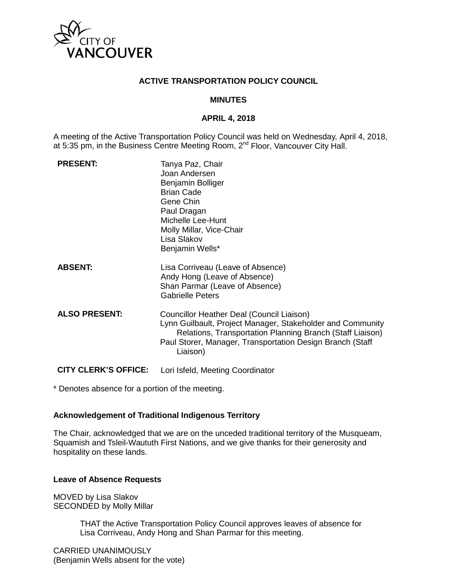

### **ACTIVE TRANSPORTATION POLICY COUNCIL**

#### **MINUTES**

#### **APRIL 4, 2018**

A meeting of the Active Transportation Policy Council was held on Wednesday, April 4, 2018, at 5:35 pm, in the Business Centre Meeting Room, 2<sup>nd</sup> Floor, Vancouver City Hall.

| <b>PRESENT:</b>             | Tanya Paz, Chair<br>Joan Andersen<br>Benjamin Bolliger<br><b>Brian Cade</b><br>Gene Chin<br>Paul Dragan<br>Michelle Lee-Hunt<br>Molly Millar, Vice-Chair<br>Lisa Slakov<br>Benjamin Wells*                                                    |
|-----------------------------|-----------------------------------------------------------------------------------------------------------------------------------------------------------------------------------------------------------------------------------------------|
| <b>ABSENT:</b>              | Lisa Corriveau (Leave of Absence)<br>Andy Hong (Leave of Absence)<br>Shan Parmar (Leave of Absence)<br><b>Gabrielle Peters</b>                                                                                                                |
| <b>ALSO PRESENT:</b>        | Councillor Heather Deal (Council Liaison)<br>Lynn Guilbault, Project Manager, Stakeholder and Community<br>Relations, Transportation Planning Branch (Staff Liaison)<br>Paul Storer, Manager, Transportation Design Branch (Staff<br>Liaison) |
| <b>CITY CLERK'S OFFICE:</b> | Lori Isfeld, Meeting Coordinator                                                                                                                                                                                                              |

\* Denotes absence for a portion of the meeting.

## **Acknowledgement of Traditional Indigenous Territory**

The Chair, acknowledged that we are on the unceded traditional territory of the Musqueam, Squamish and Tsleil-Waututh First Nations, and we give thanks for their generosity and hospitality on these lands.

## **Leave of Absence Requests**

MOVED by Lisa Slakov SECONDED by Molly Millar

> THAT the Active Transportation Policy Council approves leaves of absence for Lisa Corriveau, Andy Hong and Shan Parmar for this meeting.

CARRIED UNANIMOUSLY (Benjamin Wells absent for the vote)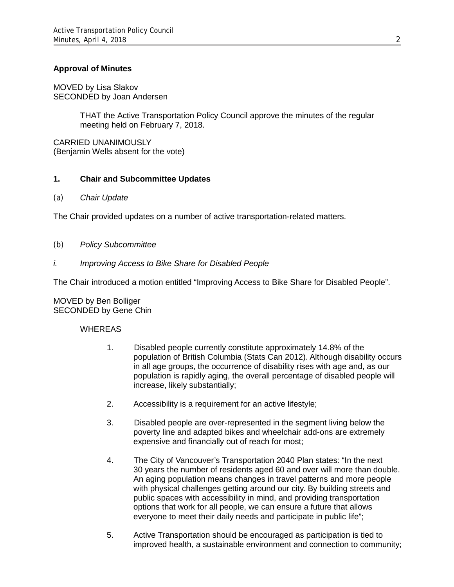## **Approval of Minutes**

MOVED by Lisa Slakov SECONDED by Joan Andersen

> THAT the Active Transportation Policy Council approve the minutes of the regular meeting held on February 7, 2018.

CARRIED UNANIMOUSLY (Benjamin Wells absent for the vote)

## **1. Chair and Subcommittee Updates**

*(a) Chair Update*

The Chair provided updates on a number of active transportation-related matters.

- *(b) Policy Subcommittee*
- *i. Improving Access to Bike Share for Disabled People*

The Chair introduced a motion entitled "Improving Access to Bike Share for Disabled People".

MOVED by Ben Bolliger SECONDED by Gene Chin

#### WHEREAS

- 1. Disabled people currently constitute approximately 14.8% of the population of British Columbia (Stats Can 2012). Although disability occurs in all age groups, the occurrence of disability rises with age and, as our population is rapidly aging, the overall percentage of disabled people will increase, likely substantially;
- 2. Accessibility is a requirement for an active lifestyle;
- 3. Disabled people are over-represented in the segment living below the poverty line and adapted bikes and wheelchair add-ons are extremely expensive and financially out of reach for most;
- 4. The City of Vancouver's Transportation 2040 Plan states: "In the next 30 years the number of residents aged 60 and over will more than double. An aging population means changes in travel patterns and more people with physical challenges getting around our city. By building streets and public spaces with accessibility in mind, and providing transportation options that work for all people, we can ensure a future that allows everyone to meet their daily needs and participate in public life";
- 5. Active Transportation should be encouraged as participation is tied to improved health, a sustainable environment and connection to community;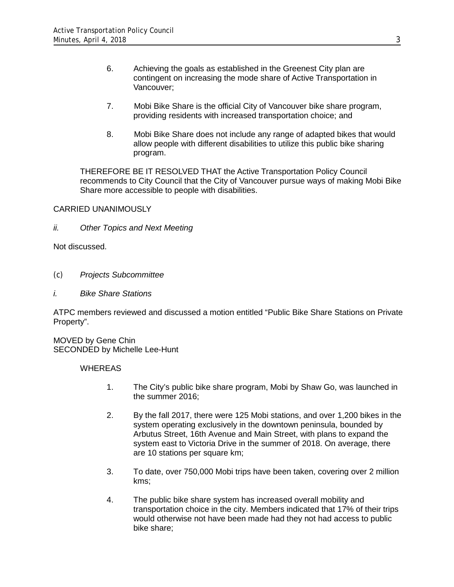- 6. Achieving the goals as established in the Greenest City plan are contingent on increasing the mode share of Active Transportation in Vancouver;
- 7. Mobi Bike Share is the official City of Vancouver bike share program, providing residents with increased transportation choice; and
- 8. Mobi Bike Share does not include any range of adapted bikes that would allow people with different disabilities to utilize this public bike sharing program.

THEREFORE BE IT RESOLVED THAT the Active Transportation Policy Council recommends to City Council that the City of Vancouver pursue ways of making Mobi Bike Share more accessible to people with disabilities.

CARRIED UNANIMOUSLY

*ii. Other Topics and Next Meeting*

Not discussed.

- *(c) Projects Subcommittee*
- *i. Bike Share Stations*

ATPC members reviewed and discussed a motion entitled "Public Bike Share Stations on Private Property".

MOVED by Gene Chin SECONDED by Michelle Lee-Hunt

**WHEREAS** 

- 1. The City's public bike share program, Mobi by Shaw Go, was launched in the summer 2016;
- 2. By the fall 2017, there were 125 Mobi stations, and over 1,200 bikes in the system operating exclusively in the downtown peninsula, bounded by Arbutus Street, 16th Avenue and Main Street, with plans to expand the system east to Victoria Drive in the summer of 2018. On average, there are 10 stations per square km;
- 3. To date, over 750,000 Mobi trips have been taken, covering over 2 million kms;
- 4. The public bike share system has increased overall mobility and transportation choice in the city. Members indicated that 17% of their trips would otherwise not have been made had they not had access to public bike share;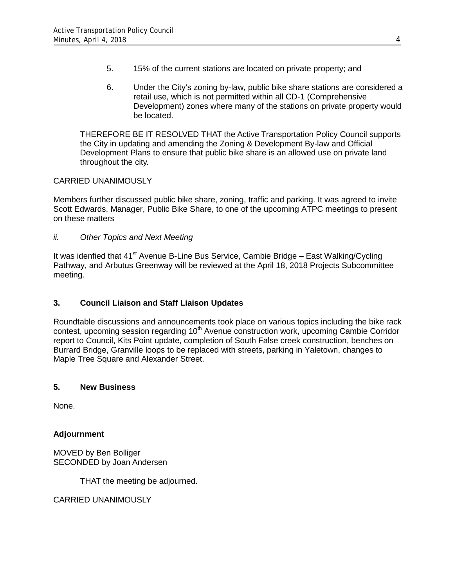- 5. 15% of the current stations are located on private property; and
- 6. Under the City's zoning by-law, public bike share stations are considered a retail use, which is not permitted within all CD-1 (Comprehensive Development) zones where many of the stations on private property would be located.

THEREFORE BE IT RESOLVED THAT the Active Transportation Policy Council supports the City in updating and amending the Zoning & Development By-law and Official Development Plans to ensure that public bike share is an allowed use on private land throughout the city.

## CARRIED UNANIMOUSLY

Members further discussed public bike share, zoning, traffic and parking. It was agreed to invite Scott Edwards, Manager, Public Bike Share, to one of the upcoming ATPC meetings to present on these matters

*ii. Other Topics and Next Meeting*

It was idenfied that  $41^{st}$  Avenue B-Line Bus Service, Cambie Bridge – East Walking/Cycling Pathway, and Arbutus Greenway will be reviewed at the April 18, 2018 Projects Subcommittee meeting.

## **3. Council Liaison and Staff Liaison Updates**

Roundtable discussions and announcements took place on various topics including the bike rack contest, upcoming session regarding 10<sup>th</sup> Avenue construction work, upcoming Cambie Corridor report to Council, Kits Point update, completion of South False creek construction, benches on Burrard Bridge, Granville loops to be replaced with streets, parking in Yaletown, changes to Maple Tree Square and Alexander Street.

## **5. New Business**

None.

## **Adjournment**

MOVED by Ben Bolliger SECONDED by Joan Andersen

THAT the meeting be adjourned.

CARRIED UNANIMOUSLY